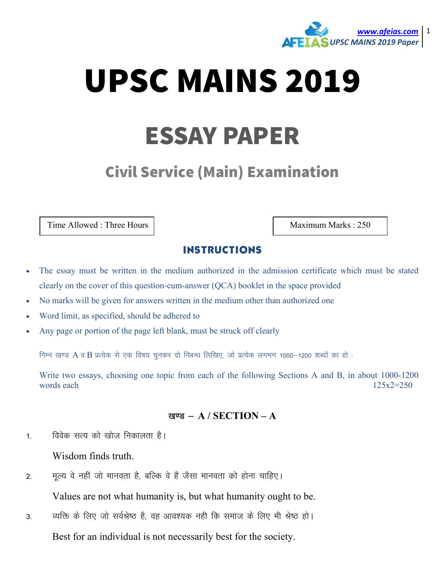

# UPSC MAINS 2019

## ESSAY PAPER

### Civil Service (Main) Examination

Time Allowed : Three Hours | Maximum Marks : 250

#### INSTRUCTIONS

- The essay must be written in the medium authorized in the admission certificate which must be stated clearly on the cover of this question-cum-answer (QCA) booklet in the space provided
- No marks will be given for answers written in the medium other than authorized one
- Word limit, as specified, should be adhered to
- Any page or portion of the page left blank, must be struck off clearly

निम्न खण्ड A व B प्रत्येक से एक विषय चुनकर दो निबन्ध लिखिए, जो प्रत्येक लगभग 1000–1200 शब्दों का हो :

Write two essays, choosing one topic from each of the following Sections A and B, in about 1000-1200 words each  $125x2=250$ 

#### खण्ड - A / SECTION - A

1. विवेक सत्य को खोज निकालता है।

Wisdom finds truth.

2. मृत्य वे नहीं जो मानवता है, बल्कि वे हैं जैसा मानवता को होना चाहिए।

Values are not what humanity is, but what humanity ought to be.

3. व्यक्ति के लिए जो सर्वश्रेष्ठ है, वह आवश्यक नही कि समाज के लिए भी श्रेष्ठ हो।

Best for an individual is not necessarily best for the society.